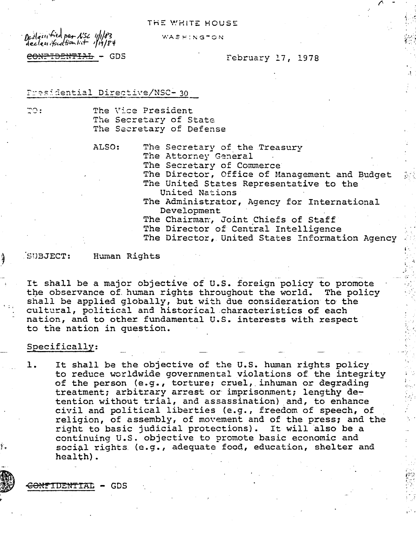## THE WHITE HOUSE

Declassified per NSC 11/183 declessificationlit 1/19/84

WASHINGTON

# CONFIDENTIAL - GDS

### February 17, 1978

### Presidential Directive/NSC-30

70 :

The Vice President The Secretary of State The Secretary of Defense

ALSO:

The Secretary of the Treasury

The Attorney General

The Secretary of Commerce

The Director, Office of Management and Budget The United States Representative to the United Nations

The Administrator, Agency for International Development

The Chairman, Joint Chiefs of Staff

The Director of Central Intelligence

The Director, United States Information Agency

#### SUBJECT:

Human Rights

It shall be a major objective of U.S. foreign policy to promote the observance of human rights throughout the world. The policy shall be applied globally, but with due consideration to the cultural, political and historical characteristics of each nation, and to other fundamental U.S. interests with respect to the nation in question.

#### Specifically:

It shall be the objective of the U.S. human rights policy ı. to reduce worldwide governmental violations of the integrity of the person (e.g., torture; cruel, inhuman or degrading treatment; arbitrary arrest or imprisonment; lengthy detention without trial, and assassination) and, to enhance civil and political liberties (e.g., freedom of speech, of religion, of assembly, of movement and of the press; and the right to basic judicial protections). It will also be a continuing U.S. objective to promote basic economic and social rights (e.g., adequate food, education, shelter and health).

<del>:ONFIDENTIA</del>L - GDS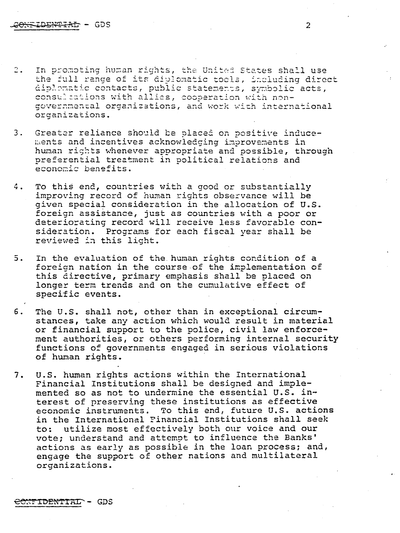- In promoting human rights, the United States shall use  $2.1$ the full range of its diplomatic tools, including direct diplomatic contacts, public statements, symbolic acts, consultations with allies, cooperation with nongovernmental organizations, and work with international organizations.
- $3.$ Greater reliance should be placed on positive inducements and incentives acknowledging improvements in human rights whenever appropriate and possible, through preferential treatment in political relations and economic benefits.
- To this end, countries with a good or substantially 4. improving record of human rights observance will be given special consideration in the allocation of U.S. foreign assistance, just as countries with a poor or deteriorating record will receive less favorable consideration. Programs for each fiscal year shall be reviewed in this light.
- $5.$ In the evaluation of the human rights condition of a foreign nation in the course of the implementation of this directive, primary emphasis shall be placed on longer term trends and on the cumulative effect of specific events.
- $6.$ The U.S. shall not, other than in exceptional circumstances, take any action which would result in material or financial support to the police, civil law enforcement authorities, or others performing internal security functions of governments engaged in serious violations of human rights.
- U.S. human rights actions within the International  $7.$ Financial Institutions shall be designed and implemented so as not to undermine the essential U.S. interest of preserving these institutions as effective economic instruments. To this end, future U.S. actions in the International Financial Institutions shall seek utilize most effectively both our voice and our  $\text{to:}$ vote; understand and attempt to influence the Banks' actions as early as possible in the loan process; and, engage the support of other nations and multilateral organizations.

## B<del>ONTIDENTIAL</del> - GDS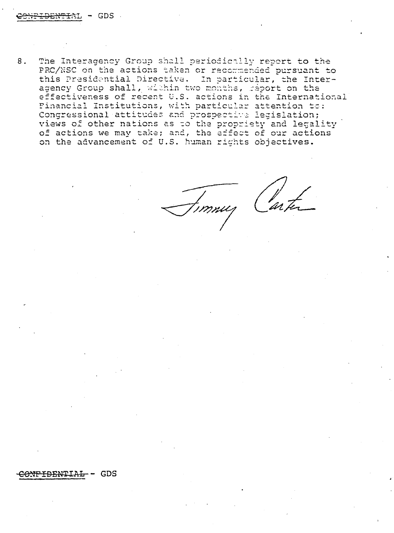8. The Interagency Group shall periodically report to the PRC/NSC on the actions taken or recommended pursuant to this Presidential Directive. In particular, the Interagency Group shall, within two months, report on the effectiveness of recent U.S. actions in the International Financial Institutions, with particular attention to: Congressional attitudes and prospective legislation; views of other nations as to the propriety and legality of actions we may take; and, the effect of our actions on the advancement of U.S. human rights objectives.

!<br>mnuz Carte

#### **NPIDENTIAL**  $-$  GDS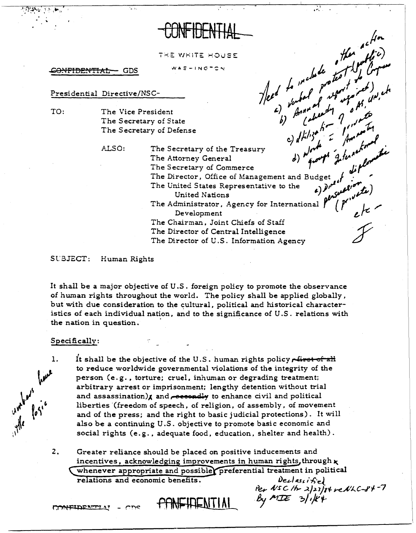THE WHITE HOUSE WAS-INGTON

CONFIDENTIAL GDS

## Presidential Directive/NSC-

TO: The Vice President The Secretary of State The Secretary of Defense

ALSO:

then to the include of the state of the state of the state of the state of the state of the state of the state of the state of the state of the state of the state of the state of the state of the state of the state of the The Secretary of the Treasury The Attorney General The Secretary of Commerce The Director, Office of Management and Budget of<br>The United States Representative to the  $\epsilon$ )  $\theta^{\mu}$ persuar **United Nations** The Administrator, Agency for International Development The Chairman, Joint Chiefs of Staff The Director of Central Intelligence The Director of U.S. Information Agency

#### SUBJECT: Human Rights

It shall be a major objective of U.S. foreign policy to promote the observance of human rights throughout the world. The policy shall be applied globally, but with due consideration to the cultural, political and historical characteristics of each individual nation, and to the significance of U.S. relations with the nation in question.

## Specifically:

- It shall be the objective of the U.S. human rights policy rivet of all unders have 1. to reduce worldwide governmental violations of the integrity of the person (e.g., torture; cruel, inhuman or degrading treatment; arbitrary arrest or imprisonment; lengthy detention without trial and assassination) $x$  and  $r$  eccendly to enhance civil and political liberties (freedom of speech, of religion, of assembly, of movement and of the press; and the right to basic judicial protections). It will also be a continuing U.S. objective to promote basic economic and social rights (e.g., adequate food, education, shelter and health).
	- $2.$ Greater reliance should be placed on positive inducements and incentives, acknowledging improvements in human rights, through x whenever appropriate and possible preferential treatment in political relations and economic benefits.  $Declassifse)$ Per NSC /b 2/23/84 reNLC-84-7

By MIE  $3/114$ 

PANEIRENTINI